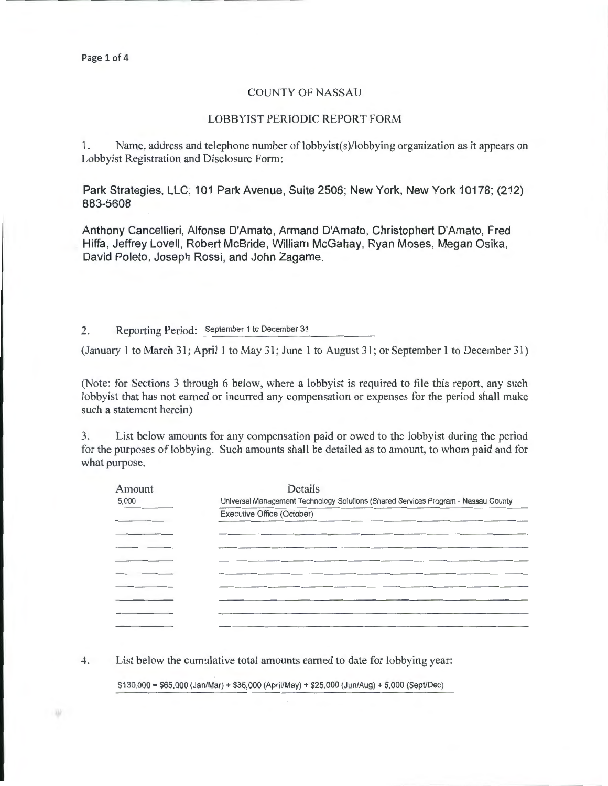#### COUNTY OF NASSAU

#### LOBBYIST PERIODIC REPORT FORM

1. Name, address and telephone number of lobbyist(s)/lobbying organization as it appears on Lobbyist Registration and Disclosure Form:

Park Strategies, LLC; 101 Park Avenue, Suite 2506; New York, New York 10178; (212) 883-5608

Anthony Cancellieri, Alfonse D'Amato, Armand D'Amato, Christophert D'Amato, Fred Hiffa, Jeffrey Lovell, Robert McBride, William McGahay, Ryan Moses, Megan Osika, David Poleto, Joseph Rossi, and John Zagame.

2. Reporting Period: September 1 to December 31

(January 1 to March 31; April 1 to May 31; June l to August 31 ; or September I to December 31)

(Note: for Sections 3 through 6 below, where a lobbyist is required to file this report, any such lobbyist that has not earned or incurred any compensation or expenses for the period shall make such a statement herein)

3. List below amounts for any compensation paid or owed to the lobbyist during the period for the purposes of lobbying. Such amounts shall be detailed as to amount, to whom paid and for what purpose.

| Amount | Details                                                                            |  |  |  |
|--------|------------------------------------------------------------------------------------|--|--|--|
| 5,000  | Universal Management Technology Solutions (Shared Services Program - Nassau County |  |  |  |
|        | Executive Office (October)                                                         |  |  |  |
|        |                                                                                    |  |  |  |
|        |                                                                                    |  |  |  |
|        |                                                                                    |  |  |  |
|        |                                                                                    |  |  |  |
|        |                                                                                    |  |  |  |
|        |                                                                                    |  |  |  |
|        |                                                                                    |  |  |  |
|        |                                                                                    |  |  |  |
|        |                                                                                    |  |  |  |

4. List below the cumulative total amounts earned to date for lobbying year:

\$130,000 = \$65,000 (Jan/Mar)+ \$35,000 (April/May)+ \$25,000 (Jun/Aug) + 5,000 (Sept/Dec)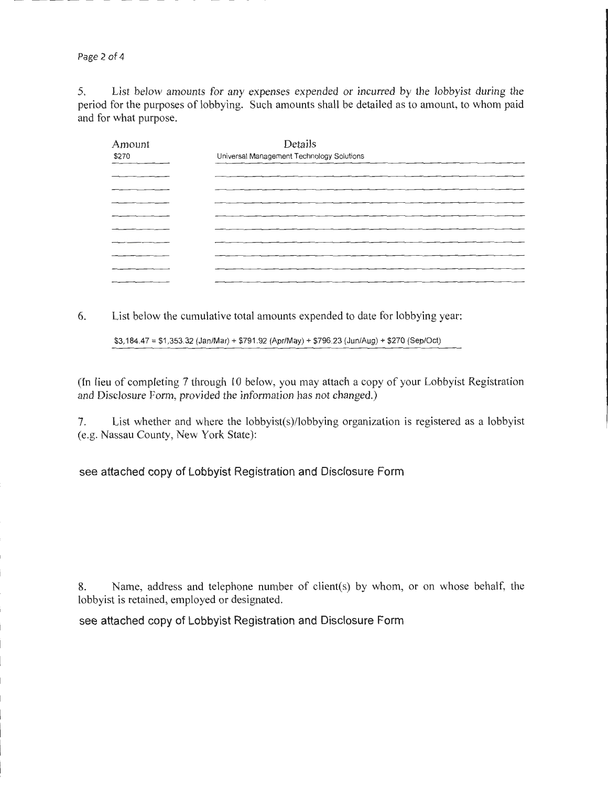Page 2 of 4

5. List below amounts for any expenses expended or incurred by the lobbyist during the period for the purposes of lobbying. Such amounts shall be detailed as to amount, to whom paid and for what purpose.

| Amount<br>\$270 | Details<br>Universal Management Technology Solutions |  |  |  |
|-----------------|------------------------------------------------------|--|--|--|
| ---             |                                                      |  |  |  |
|                 |                                                      |  |  |  |
|                 |                                                      |  |  |  |
|                 |                                                      |  |  |  |
|                 |                                                      |  |  |  |
|                 |                                                      |  |  |  |
|                 |                                                      |  |  |  |
|                 |                                                      |  |  |  |
|                 |                                                      |  |  |  |
|                 |                                                      |  |  |  |
|                 |                                                      |  |  |  |
|                 |                                                      |  |  |  |

6. List below the cumulative total amounts expended to date for lobbying year:

\$3,184.47 = \$1 ,353.32 (Jan/Mar)+ \$791 .92 (Apr/May)+ \$796.23 (Jun/Aug) + \$270 (Sep/Oct)

(In lieu of completing 7 through 10 below, you may attach a copy of your Lobbyist Registration and Disclosure Form, provided the information has not changed.)

7. List whether and where the lobbyist(s)/lobbying organization is registered as a lobbyist (e.g. Nassau County, New York State):

see attached copy of Lobbyist Registration and Disclosure Form

8. Name, address and telephone number of client(s) by whom, or on whose behalf, the lobbyist is retained, employed or designated.

see attached copy of Lobbyist Registration and Disclosure Form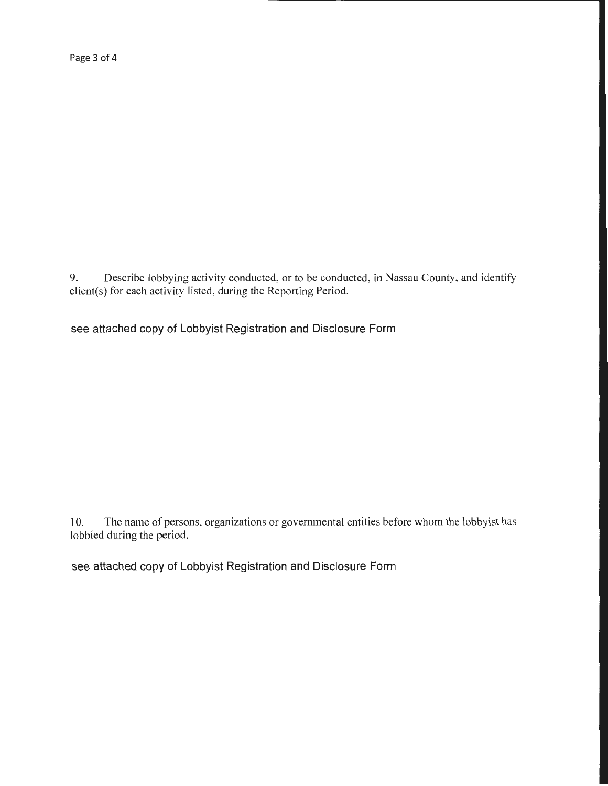Page 3 of 4

9. Describe lobbying activity conducted, or to be conducted, in Nassau County, and identify client(s) for each activity listed, during the Reporting Period.

see attached copy of Lobbyist Registration and Disclosure Form

10. The name of persons, organizations or governmental entities before whom the lobbyist has lobbied during the period.

see attached copy of Lobbyist Registration and Disclosure Form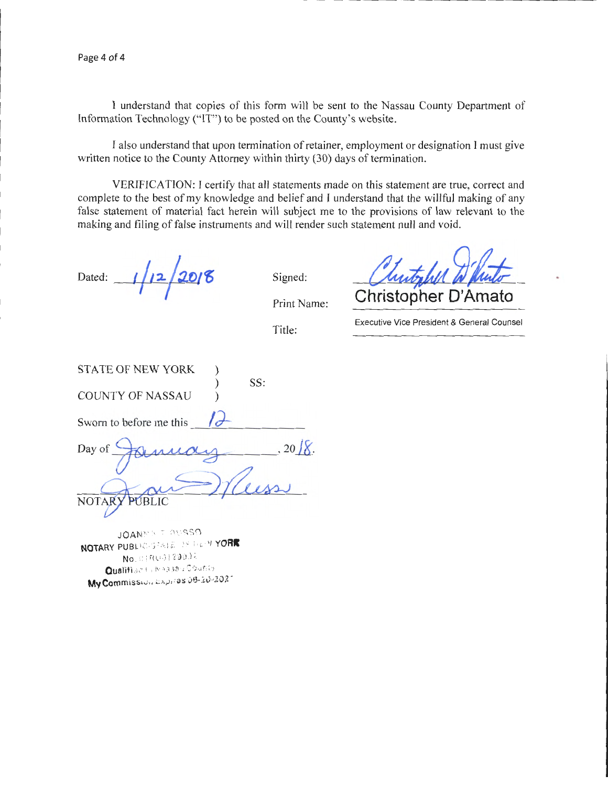Page 4 of 4

I understand that copies of this form will be sent to the Nassau County Department of Information Technology ("IT") to be posted on the County's website.

I also understand that upon termination of retainer, employment or designation I must give written notice to the County Attorney within thirty (30) days of termination.

VERIFICATION: I certify that all statements made on this statement are true, correct and complete to the best of my knowledge and belief and I understand that the willful making of any false statement of material fact herein will subject me to the provisions of law relevant to the making and filing of false instruments and will render such statement null and void.

 $1/12/2018$ Dated:

Signed:

Print Name:

Title:

**Christopher D'Amato** 

Executive Vice President & General Counsel

| <b>STATE OF NEW YORK</b> |                 |
|--------------------------|-----------------|
|                          | SS:             |
| <b>COUNTY OF NASSAU</b>  |                 |
|                          |                 |
| Sworn to before me this  |                 |
|                          |                 |
| Day of                   | $, 20$ $\chi$ . |
|                          |                 |
|                          |                 |
|                          |                 |
| <b>NOTAR</b>             |                 |
|                          |                 |

JOAN f'!/1 T RU S:S O **NOTARY** PUBLtC:.'>iArt:: )". t'r.' '' **YORI**  No. 01 RUS 1 2 90.) 2  $Qualifi$ a $z \mapsto \aleph$ nggan C $\phi$ uan $(y)$ **My Commission bapires 08-20-2021**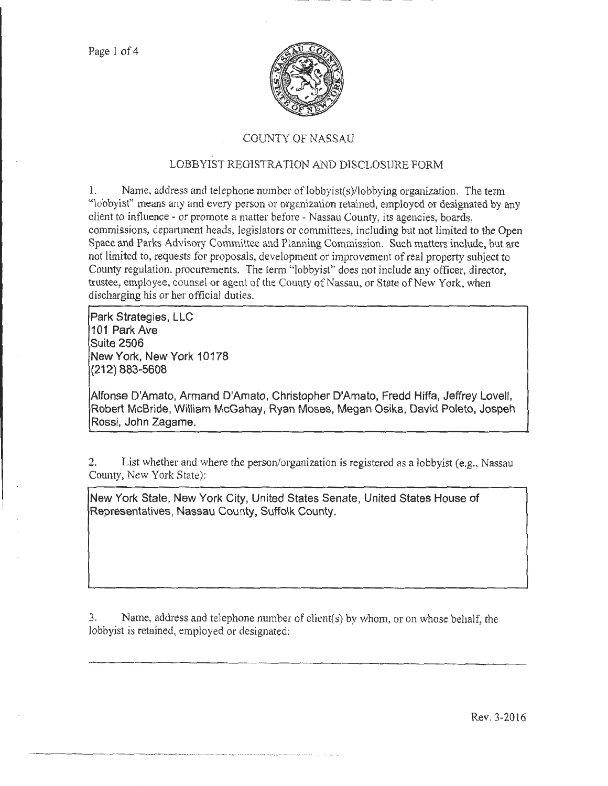

# COUNTY OF NASSAU

# LOBBYIST REGISTRATION AND DISCLOSURE FORM

1. Name, address and telephone number of lobbyist(s)/lobbying organization. The term "lobbyist" means any and every person or organization retained, employed or designated by any client to int1uence- or promote a matter before- Nassau County, its agencies, boards, commissions, depattment heads, legislators or committees, including but not limited to the Open Space and Parks Advisory Committee and Planning Commission. Such matters include, but arc not limited to, requests for proposals, development or improvement of real property subject to County regulation, procurements. The term "lobbyist" does not include any officer, director, trustee, employee, counsel or agent of the County of Nassau, or State of New York, when discharging his or her official duties.

**Park Strategies, LLC 101 Park Ave Suite 2506 New York, New York 10178 (212) 883-5608** 

**Alfonse D'Amato, Armand D'Amato, Christopher D'Amato, Fredd Hiffa, Jeffrey Lovell, Robert McBride, William McGahay, Ryan Moses, Megan Osika, David Poleto, Jospeh Rossi, John Zagame.** 

2. List whether and where the person/organization is registered as a lobbyist (e.g., Nassau County, New York State):

**New York State, New York City, United States Senate, United States House of Representatives, Nassau County, Suffolk County.** 

3. Name, address and telephone number of client(s) by whom, or on whose behalf, the lobbyist is retained, employed or designated:

----- --·· ··-~----~ ··-· ·-·------·---------· . . ....

Rev. 3-2016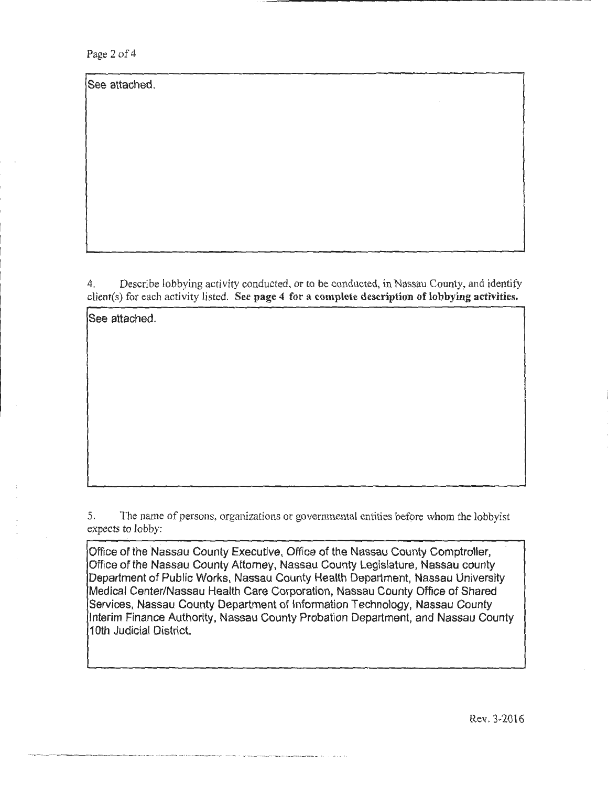Page 2 of 4

See attached.

4. Describe lobbying activity conducted, or to be conducted, in Nassau County, and identify client(s) for each activity listed. See page 4 for a complete description of lobbying activities.

See attached.

5. The name of persons, organizations or governmental entities before whom the lobbyist expects to lobby:

Office of the Nassau County Executive, Office of the Nassau County Comptroller, Office of the Nassau County Attorney, Nassau County Legislature, Nassau county Department of Public Works, Nassau County Health Department, Nassau University Medical Center/Nassau Health Care Corporation, Nassau County Office of Shared Services, Nassau County Department of Information Technology, Nassau County Interim Finance Authority, Nassau County Probation Department, and Nassau County 1Oth Judicial District.

---------·- -- - ··-- - - -·. ·- - ·--·--···-· ---------· . -- --·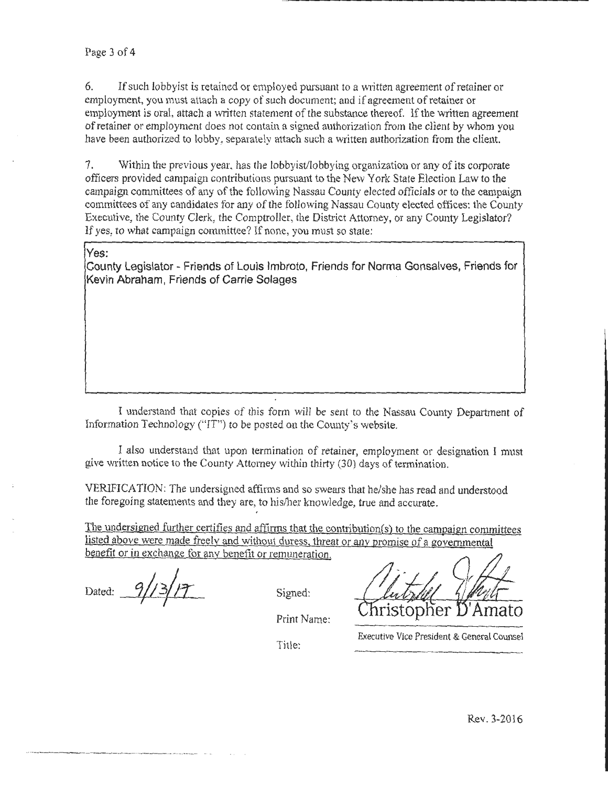6. If such lobbyist is retained or employed pursuant to a written agreement of retainer or employment, you must attach a copy of such document; and if agreement of retainer or employment is oral, attach a written statement of the substance thereof. If the written agreement of retainer or employment does not contain a signed authorization from the client by whom you have been authorized to lobby, separately attach such a written authorization from the client.

7. Within the previous year. has the lobbyist/lobbying organization or any of its corporate officers provided campaign contributions pursuant to the New York State Election Law to the campaign committees of any of the following Nassau County elected officials or to the campaign committees of any candidates for any of the tollowing Nassau County elected oftices: the County Executive, the County Clerk, the Comptroller, the District Attorney, or any County Legislator? If yes, to what campaign committee? If none, you must so state:

## **Yes:**

**County Legislator- Friends of Louis lmbroto, Friends for Norma Gonsalves, Friends for Kevin Abraham, Friends of Carrie Solages** 

I understand that copies of this form will be sent to the Nassau County Department of Information Technology ("IT") to be posted on the County's website.

I also understand that upon termination of retainer, employment or designation I must give written notice to the County Attorney within thirty (30) days of termination .

VERIFICATION: The undersigned affirms and so swears that he/she has read and understood the foregoing statements and they are, to his/her knowledge, true and accurate.

The undersigned further certifies and affirms that the contribution(s) to the campaign committees listed above were made freelv and without duress. threat or anv promise of a governmental benefit or in exchange for any benefit or remuneration.

Dated:  $9/13/17$ 

·- - - - -·--- --------- ·-· -

........

Signed:

Print Name:

Executive Vice President & General Counsel

Title: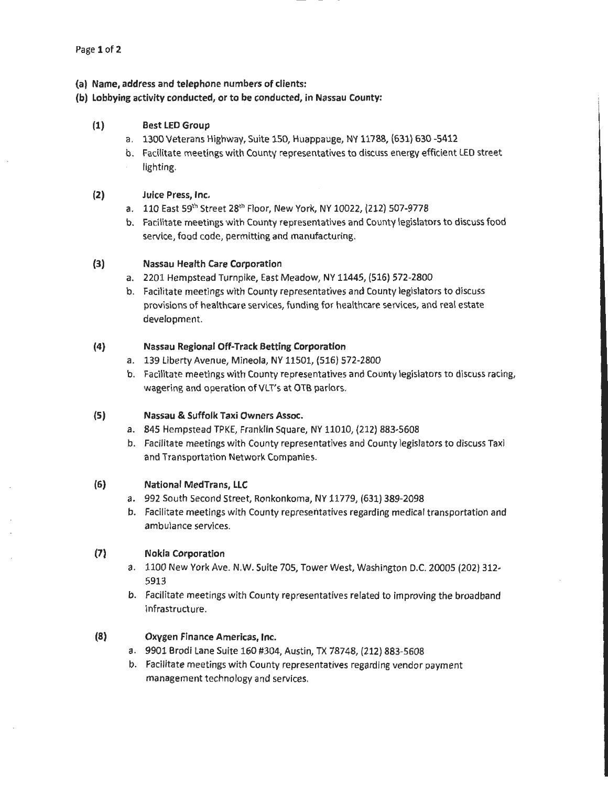### (a) Name, address and telephone numbers of clients:

#### (b) Lobbying activity conducted, or to be conducted, in Nassau County:

## (1) Best LED Group

- a. 1300 Veterans Highway, Suite 150, Huappauge, NY 11788, (631) 630-5412
- b. Facilitate meetings with County representatives to discuss energy efficient LED street lighting.

#### (2) Juice Press, Inc.

- a. 110 East 59th Street 28th Floor, New York, NY 10022, (212) 507-9778
- b. Facilitate meetings with County representatives and County legislators to discuss food service, food code, permitting and manufacturing.

### (3) Nassau Health Care Corporation

- a. 2201 Hempstead Turnpike, East Meadow, NY 11445, (516) 572-2800
- b. Facilitate meetings with County representatives and County legislators to discuss provisions of healthcare services, funding for healthcare services, and real estate development.

### (4) Nassau Regional Off-Track Betting Corporation

- a. 139 Liberty Avenue, Mineola, NY 11501, (516) 572-2800
- b. Facilitate meetings with County representatives and County legislators to discuss racing, wagering and operation of VLT's at OTB parlors.

### (5) Nassau & Suffolk Taxi Owners Assoc.

- a. 845 Hempstead TPKE, Franklin Square, NY 11010, (212) 883-5608
- b. Facilitate meetings with County representatives and County legislators to discuss Taxi and Transportation Network Companies.

#### (6) National MedTrans, LLC

- a. 992 South Second Street, Ronkonkoma, NY 11779, (631) 389-2098
- b. Facilitate meetings with County representatives regarding medical transportation and ambulance services.

## (7) Nokia Corporation

- a. 1100 New York Ave. N.W. Suite 705, Tower West, Washington D.C. 20005 (202) 312- 5913
- b. Facilitate meetings with County representatives related to improving the broadband infrastructure.

## (8) Oxygen Finance Americas, Inc.

- a. 9901 Brodi Lane Suite 160 #304, Austin, TX 78748, (212) 883-5608
- b. Facilitate meetings with County representatives regarding vendor payment management technology and services.